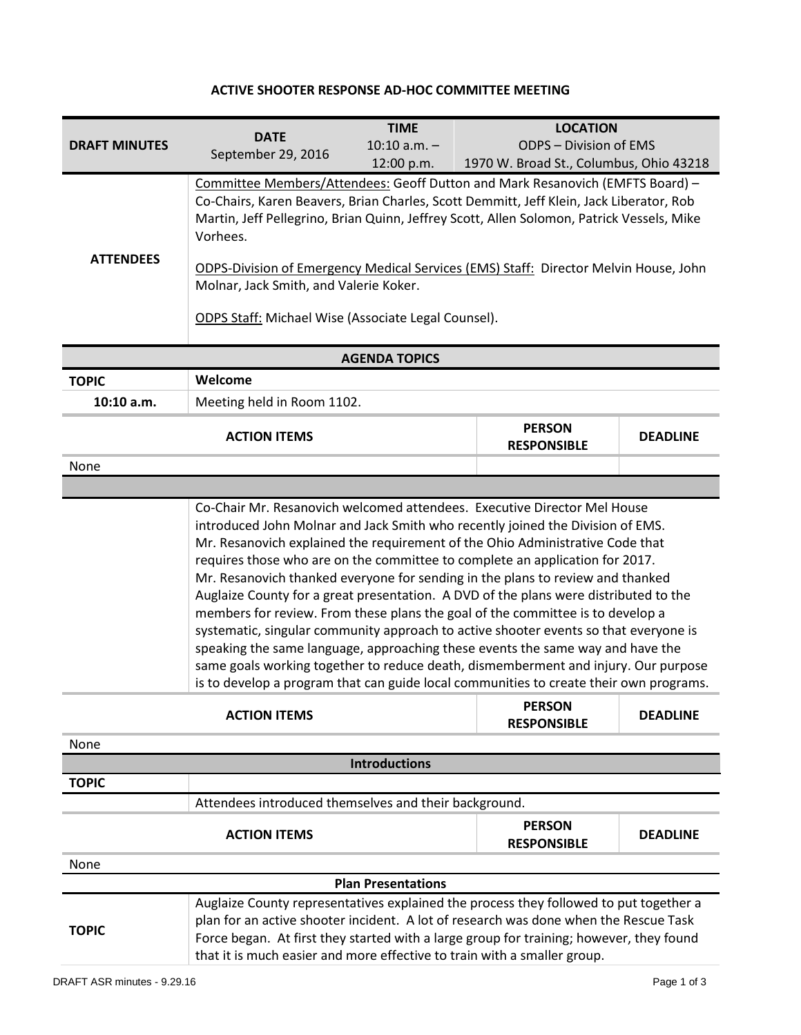## **ACTIVE SHOOTER RESPONSE AD-HOC COMMITTEE MEETING**

| <b>DRAFT MINUTES</b>      |                                                                                                                                                                                 | <b>TIME</b>          | <b>LOCATION</b>                         |                 |  |
|---------------------------|---------------------------------------------------------------------------------------------------------------------------------------------------------------------------------|----------------------|-----------------------------------------|-----------------|--|
|                           | <b>DATE</b><br>September 29, 2016                                                                                                                                               | $10:10$ a.m. $-$     | <b>ODPS - Division of EMS</b>           |                 |  |
|                           |                                                                                                                                                                                 | 12:00 p.m.           | 1970 W. Broad St., Columbus, Ohio 43218 |                 |  |
|                           | Committee Members/Attendees: Geoff Dutton and Mark Resanovich (EMFTS Board) -                                                                                                   |                      |                                         |                 |  |
|                           | Co-Chairs, Karen Beavers, Brian Charles, Scott Demmitt, Jeff Klein, Jack Liberator, Rob                                                                                         |                      |                                         |                 |  |
|                           | Martin, Jeff Pellegrino, Brian Quinn, Jeffrey Scott, Allen Solomon, Patrick Vessels, Mike<br>Vorhees.                                                                           |                      |                                         |                 |  |
| <b>ATTENDEES</b>          |                                                                                                                                                                                 |                      |                                         |                 |  |
|                           | ODPS-Division of Emergency Medical Services (EMS) Staff: Director Melvin House, John                                                                                            |                      |                                         |                 |  |
|                           | Molnar, Jack Smith, and Valerie Koker.                                                                                                                                          |                      |                                         |                 |  |
|                           | <b>ODPS Staff: Michael Wise (Associate Legal Counsel).</b>                                                                                                                      |                      |                                         |                 |  |
|                           |                                                                                                                                                                                 |                      |                                         |                 |  |
|                           |                                                                                                                                                                                 | <b>AGENDA TOPICS</b> |                                         |                 |  |
| <b>TOPIC</b>              | Welcome                                                                                                                                                                         |                      |                                         |                 |  |
| 10:10 a.m.                | Meeting held in Room 1102.                                                                                                                                                      |                      |                                         |                 |  |
|                           | <b>ACTION ITEMS</b>                                                                                                                                                             |                      | <b>PERSON</b>                           | <b>DEADLINE</b> |  |
|                           |                                                                                                                                                                                 |                      | <b>RESPONSIBLE</b>                      |                 |  |
| None                      |                                                                                                                                                                                 |                      |                                         |                 |  |
|                           |                                                                                                                                                                                 |                      |                                         |                 |  |
|                           | Co-Chair Mr. Resanovich welcomed attendees. Executive Director Mel House                                                                                                        |                      |                                         |                 |  |
|                           | introduced John Molnar and Jack Smith who recently joined the Division of EMS.                                                                                                  |                      |                                         |                 |  |
|                           | Mr. Resanovich explained the requirement of the Ohio Administrative Code that<br>requires those who are on the committee to complete an application for 2017.                   |                      |                                         |                 |  |
|                           | Mr. Resanovich thanked everyone for sending in the plans to review and thanked                                                                                                  |                      |                                         |                 |  |
|                           | Auglaize County for a great presentation. A DVD of the plans were distributed to the                                                                                            |                      |                                         |                 |  |
|                           | members for review. From these plans the goal of the committee is to develop a                                                                                                  |                      |                                         |                 |  |
|                           | systematic, singular community approach to active shooter events so that everyone is                                                                                            |                      |                                         |                 |  |
|                           | speaking the same language, approaching these events the same way and have the                                                                                                  |                      |                                         |                 |  |
|                           | same goals working together to reduce death, dismemberment and injury. Our purpose<br>is to develop a program that can guide local communities to create their own programs.    |                      |                                         |                 |  |
|                           |                                                                                                                                                                                 |                      |                                         |                 |  |
|                           | <b>ACTION ITEMS</b>                                                                                                                                                             |                      | <b>PERSON</b><br><b>RESPONSIBLE</b>     | <b>DEADLINE</b> |  |
| None                      |                                                                                                                                                                                 |                      |                                         |                 |  |
|                           |                                                                                                                                                                                 | <b>Introductions</b> |                                         |                 |  |
| <b>TOPIC</b>              |                                                                                                                                                                                 |                      |                                         |                 |  |
|                           | Attendees introduced themselves and their background.                                                                                                                           |                      |                                         |                 |  |
|                           | <b>ACTION ITEMS</b>                                                                                                                                                             |                      | <b>PERSON</b><br><b>RESPONSIBLE</b>     | <b>DEADLINE</b> |  |
| None                      |                                                                                                                                                                                 |                      |                                         |                 |  |
| <b>Plan Presentations</b> |                                                                                                                                                                                 |                      |                                         |                 |  |
|                           | Auglaize County representatives explained the process they followed to put together a                                                                                           |                      |                                         |                 |  |
| <b>TOPIC</b>              | plan for an active shooter incident. A lot of research was done when the Rescue Task<br>Force began. At first they started with a large group for training; however, they found |                      |                                         |                 |  |
|                           | that it is much easier and more effective to train with a smaller group.                                                                                                        |                      |                                         |                 |  |
|                           |                                                                                                                                                                                 |                      |                                         |                 |  |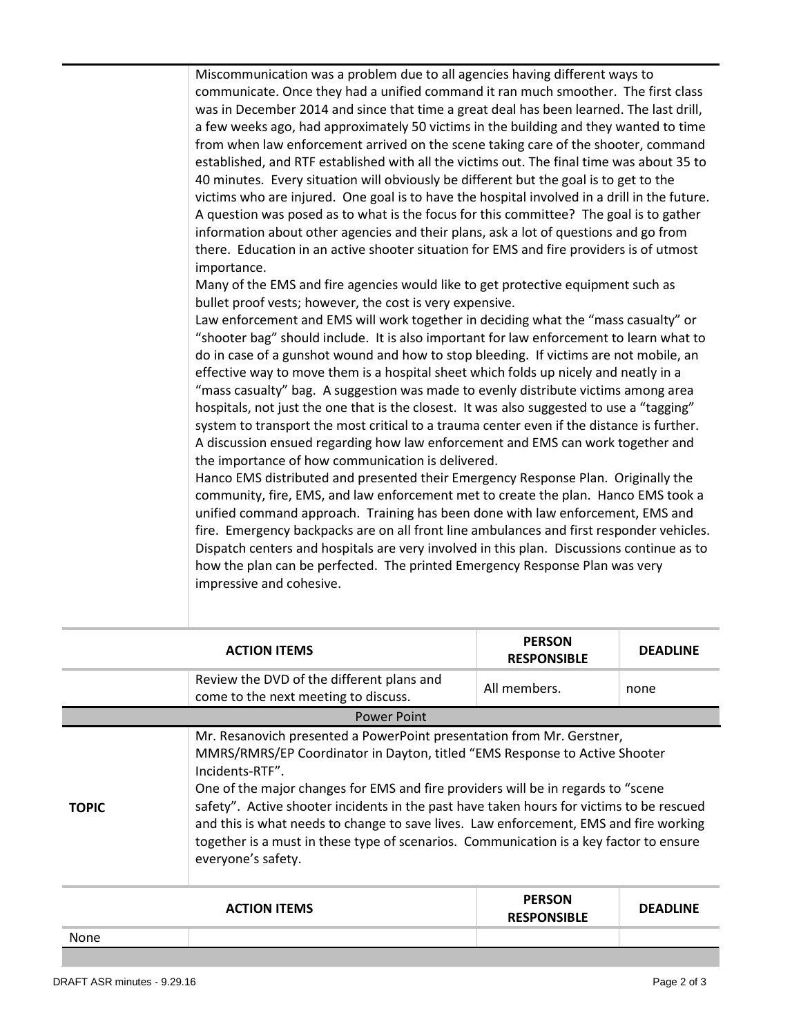Miscommunication was a problem due to all agencies having different ways to communicate. Once they had a unified command it ran much smoother. The first class was in December 2014 and since that time a great deal has been learned. The last drill, a few weeks ago, had approximately 50 victims in the building and they wanted to time from when law enforcement arrived on the scene taking care of the shooter, command established, and RTF established with all the victims out. The final time was about 35 to 40 minutes. Every situation will obviously be different but the goal is to get to the victims who are injured. One goal is to have the hospital involved in a drill in the future. A question was posed as to what is the focus for this committee? The goal is to gather information about other agencies and their plans, ask a lot of questions and go from there. Education in an active shooter situation for EMS and fire providers is of utmost importance.

Many of the EMS and fire agencies would like to get protective equipment such as bullet proof vests; however, the cost is very expensive.

Law enforcement and EMS will work together in deciding what the "mass casualty" or "shooter bag" should include. It is also important for law enforcement to learn what to do in case of a gunshot wound and how to stop bleeding. If victims are not mobile, an effective way to move them is a hospital sheet which folds up nicely and neatly in a "mass casualty" bag. A suggestion was made to evenly distribute victims among area hospitals, not just the one that is the closest. It was also suggested to use a "tagging" system to transport the most critical to a trauma center even if the distance is further. A discussion ensued regarding how law enforcement and EMS can work together and the importance of how communication is delivered.

Hanco EMS distributed and presented their Emergency Response Plan. Originally the community, fire, EMS, and law enforcement met to create the plan. Hanco EMS took a unified command approach. Training has been done with law enforcement, EMS and fire. Emergency backpacks are on all front line ambulances and first responder vehicles. Dispatch centers and hospitals are very involved in this plan. Discussions continue as to how the plan can be perfected. The printed Emergency Response Plan was very impressive and cohesive.

| <b>ACTION ITEMS</b> |                                                                                                                                                                                                                                                                                                                                                                                                                                                                                                                                                                  | <b>PERSON</b><br><b>RESPONSIBLE</b> | <b>DEADLINE</b> |  |
|---------------------|------------------------------------------------------------------------------------------------------------------------------------------------------------------------------------------------------------------------------------------------------------------------------------------------------------------------------------------------------------------------------------------------------------------------------------------------------------------------------------------------------------------------------------------------------------------|-------------------------------------|-----------------|--|
|                     | Review the DVD of the different plans and<br>come to the next meeting to discuss.                                                                                                                                                                                                                                                                                                                                                                                                                                                                                | All members.                        | none            |  |
| <b>Power Point</b>  |                                                                                                                                                                                                                                                                                                                                                                                                                                                                                                                                                                  |                                     |                 |  |
| <b>TOPIC</b>        | Mr. Resanovich presented a PowerPoint presentation from Mr. Gerstner,<br>MMRS/RMRS/EP Coordinator in Dayton, titled "EMS Response to Active Shooter<br>Incidents-RTF".<br>One of the major changes for EMS and fire providers will be in regards to "scene"<br>safety". Active shooter incidents in the past have taken hours for victims to be rescued<br>and this is what needs to change to save lives. Law enforcement, EMS and fire working<br>together is a must in these type of scenarios. Communication is a key factor to ensure<br>everyone's safety. |                                     |                 |  |

| <b>ACTION ITEMS</b> |  | <b>PERSON</b><br><b>RESPONSIBLE</b> | <b>DEADLINE</b> |
|---------------------|--|-------------------------------------|-----------------|
| None                |  |                                     |                 |
|                     |  |                                     |                 |